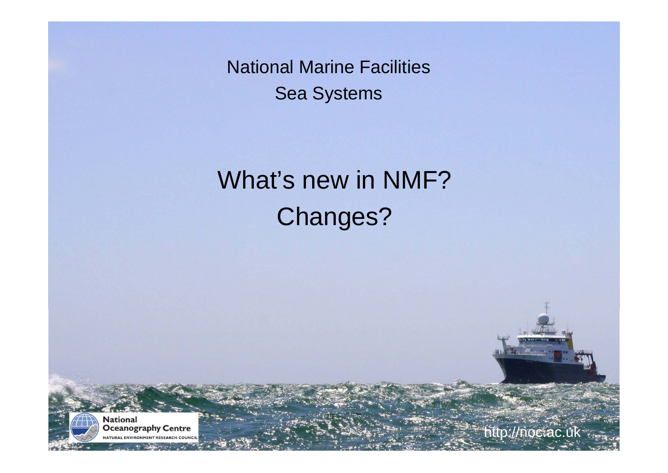# What's new in NMF?Changes?



http://noc.ac.uk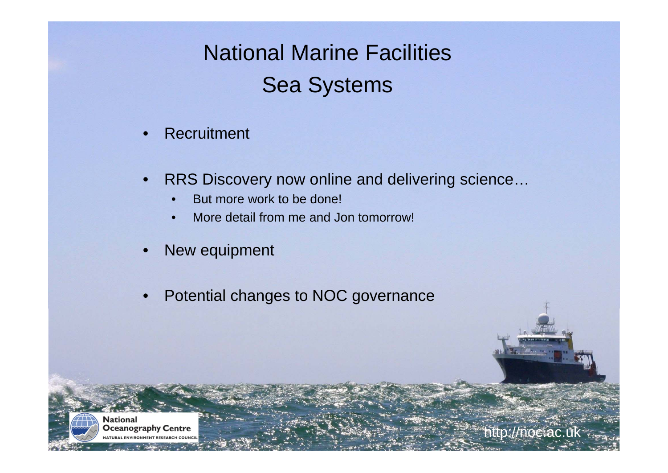- •**Recruitment**
- • RRS Discovery now online and delivering science…
	- •But more work to be done!
	- •More detail from me and Jon tomorrow!
- •New equipment
- •Potential changes to NOC governance

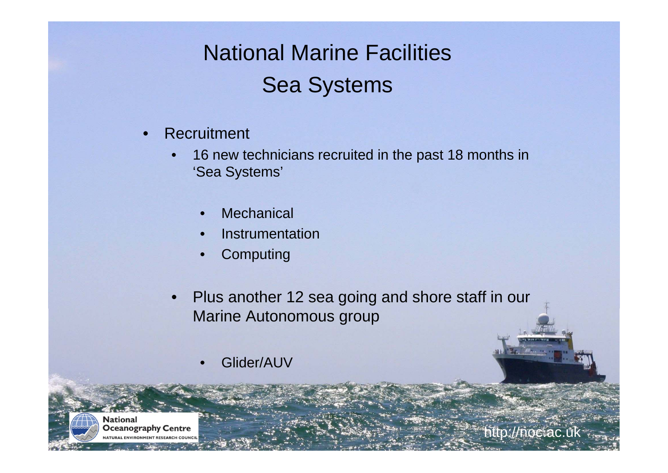- •**Recruitment** 
	- • 16 new technicians recruited in the past 18 months in 'Sea Systems'
		- •**Mechanical**
		- •Instrumentation
		- •**Computing**
	- • Plus another 12 sea going and shore staff in our Marine Autonomous group
		- •Glider/AUV



http://noc.ac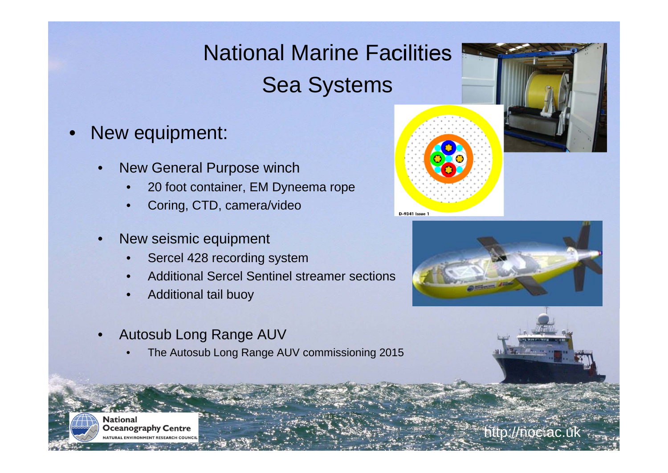- • New equipment:
	- • New General Purpose winch
		- •20 foot container, EM Dyneema rope
		- •Coring, CTD, camera/video
	- • New seismic equipment
		- •Sercel 428 recording system
		- •Additional Sercel Sentinel streamer sections
		- •Additional tail buoy
	- • Autosub Long Range AUV
		- •The Autosub Long Range AUV commissioning 2015







**National Oceanography Centre** 

http://noc.ac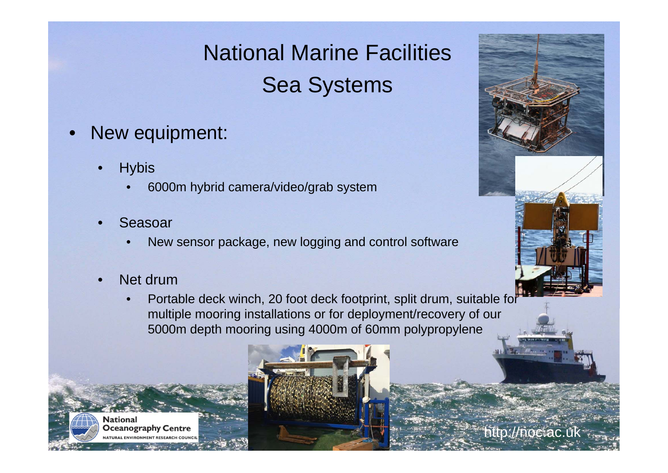- • New equipment:
	- •**Hybis** 
		- •6000m hybrid camera/video/grab system
	- • Seasoar
		- •New sensor package, new logging and control software
	- •Net drum

**National** 

**Oceanography Centre** 

• Portable deck winch, 20 foot deck footprint, split drum, suitable for multiple mooring installations or for deployment/recovery of our 5000m depth mooring using 4000m of 60mm polypropylene





http://noc.ac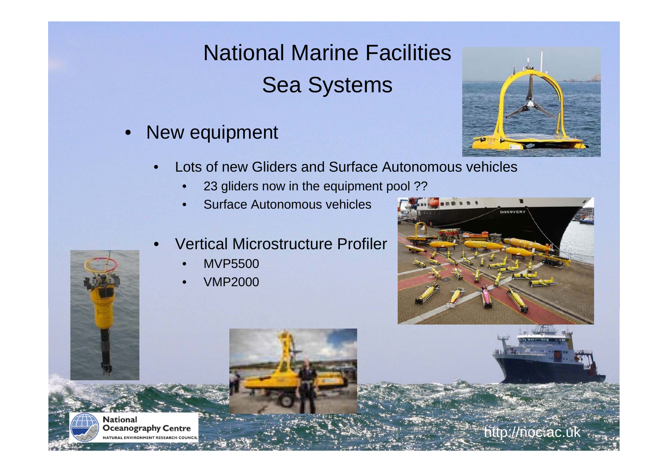$\bullet$ New equipment



- • Lots of new Gliders and Surface Autonomous vehicles
	- •23 gliders now in the equipment pool ??
	- •Surface Autonomous vehicles
- • Vertical Microstructure Profiler
	- •MVP5500
	- •VMP2000



http://noc.ac.